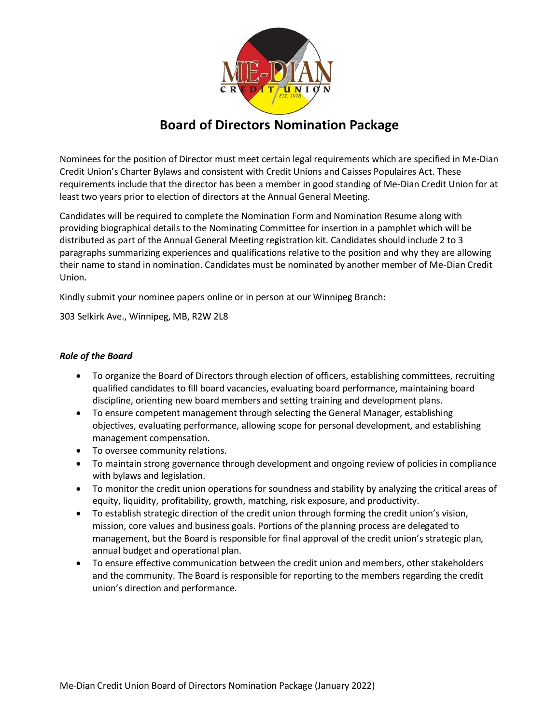

# **Board of Directors Nomination Package**

Nominees for the position of Director must meet certain legal requirements which are specified in Me-Dian Credit Union's Charter Bylaws and consistent with Credit Unions and Caisses Populaires Act. These requirements include that the director has been a member in good standing of Me-Dian Credit Union for at least two years prior to election of directors at the Annual General Meeting.

Candidates will be required to complete the Nomination Form and Nomination Resume along with providing biographical details to the Nominating Committee for insertion in a pamphlet which will be distributed as part of the Annual General Meeting registration kit. Candidates should include 2 to 3 paragraphs summarizing experiences and qualifications relative to the position and why they are allowing their name to stand in nomination. Candidates must be nominated by another member of Me-Dian Credit Union.

Kindly submit your nominee papers online or in person at our Winnipeg Branch:

303 Selkirk Ave., Winnipeg, MB, R2W 2L8

### *Role of the Board*

- To organize the Board of Directors through election of officers, establishing committees, recruiting qualified candidates to fill board vacancies, evaluating board performance, maintaining board discipline, orienting new board members and setting training and development plans.
- To ensure competent management through selecting the General Manager, establishing objectives, evaluating performance, allowing scope for personal development, and establishing management compensation.
- To oversee community relations.
- To maintain strong governance through development and ongoing review of policies in compliance with bylaws and legislation.
- To monitor the credit union operations for soundness and stability by analyzing the critical areas of equity, liquidity, profitability, growth, matching, risk exposure, and productivity.
- To establish strategic direction of the credit union through forming the credit union's vision, mission, core values and business goals. Portions of the planning process are delegated to management, but the Board is responsible for final approval of the credit union's strategic plan, annual budget and operational plan.
- To ensure effective communication between the credit union and members, other stakeholders and the community. The Board is responsible for reporting to the members regarding the credit union's direction and performance.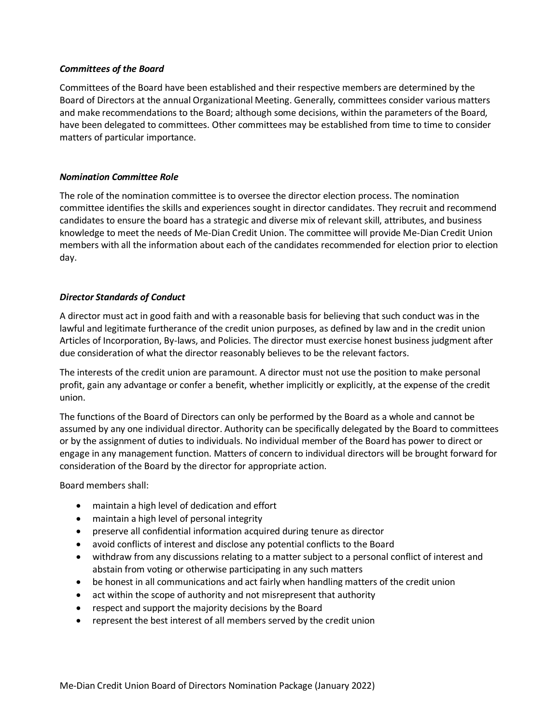### *Committees of the Board*

Committees of the Board have been established and their respective members are determined by the Board of Directors at the annual Organizational Meeting. Generally, committees consider various matters and make recommendations to the Board; although some decisions, within the parameters of the Board, have been delegated to committees. Other committees may be established from time to time to consider matters of particular importance.

### *Nomination Committee Role*

The role of the nomination committee is to oversee the director election process. The nomination committee identifies the skills and experiences sought in director candidates. They recruit and recommend candidates to ensure the board has a strategic and diverse mix of relevant skill, attributes, and business knowledge to meet the needs of Me-Dian Credit Union. The committee will provide Me-Dian Credit Union members with all the information about each of the candidates recommended for election prior to election day.

### *Director Standards of Conduct*

A director must act in good faith and with a reasonable basis for believing that such conduct was in the lawful and legitimate furtherance of the credit union purposes, as defined by law and in the credit union Articles of Incorporation, By-laws, and Policies. The director must exercise honest business judgment after due consideration of what the director reasonably believes to be the relevant factors.

The interests of the credit union are paramount. A director must not use the position to make personal profit, gain any advantage or confer a benefit, whether implicitly or explicitly, at the expense of the credit union.

The functions of the Board of Directors can only be performed by the Board as a whole and cannot be assumed by any one individual director. Authority can be specifically delegated by the Board to committees or by the assignment of duties to individuals. No individual member of the Board has power to direct or engage in any management function. Matters of concern to individual directors will be brought forward for consideration of the Board by the director for appropriate action.

Board members shall:

- maintain a high level of dedication and effort
- maintain a high level of personal integrity
- preserve all confidential information acquired during tenure as director
- avoid conflicts of interest and disclose any potential conflicts to the Board
- withdraw from any discussions relating to a matter subject to a personal conflict of interest and abstain from voting or otherwise participating in any such matters
- be honest in all communications and act fairly when handling matters of the credit union
- act within the scope of authority and not misrepresent that authority
- respect and support the majority decisions by the Board
- represent the best interest of all members served by the credit union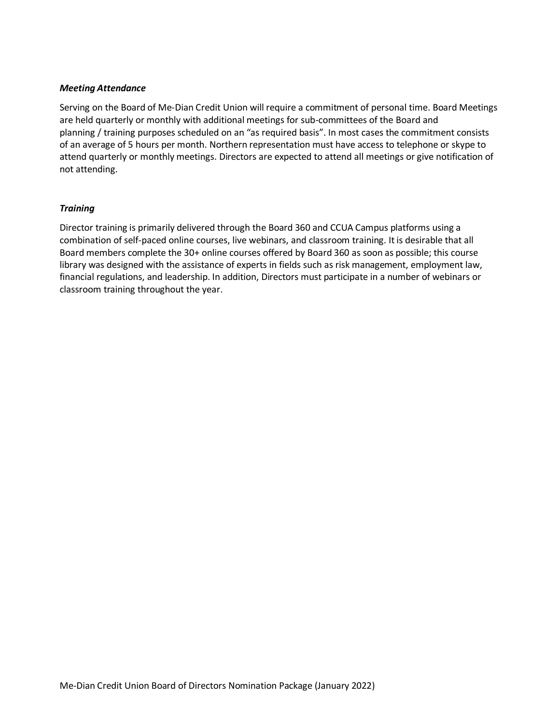#### *Meeting Attendance*

Serving on the Board of Me-Dian Credit Union will require a commitment of personal time. Board Meetings are held quarterly or monthly with additional meetings for sub-committees of the Board and planning / training purposes scheduled on an "as required basis". In most cases the commitment consists of an average of 5 hours per month. Northern representation must have access to telephone or skype to attend quarterly or monthly meetings. Directors are expected to attend all meetings or give notification of not attending.

### *Training*

Director training is primarily delivered through the Board 360 and CCUA Campus platforms using a combination of self-paced online courses, live webinars, and classroom training. It is desirable that all Board members complete the 30+ online courses offered by Board 360 as soon as possible; this course library was designed with the assistance of experts in fields such as risk management, employment law, financial regulations, and leadership. In addition, Directors must participate in a number of webinars or classroom training throughout the year.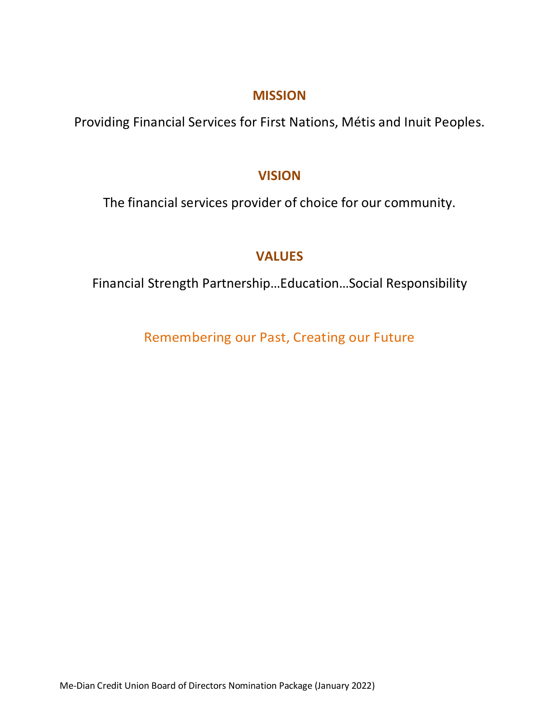## **MISSION**

Providing Financial Services for First Nations, Métis and Inuit Peoples.

## **VISION**

The financial services provider of choice for our community.

# **VALUES**

Financial Strength Partnership…Education…Social Responsibility

Remembering our Past, Creating our Future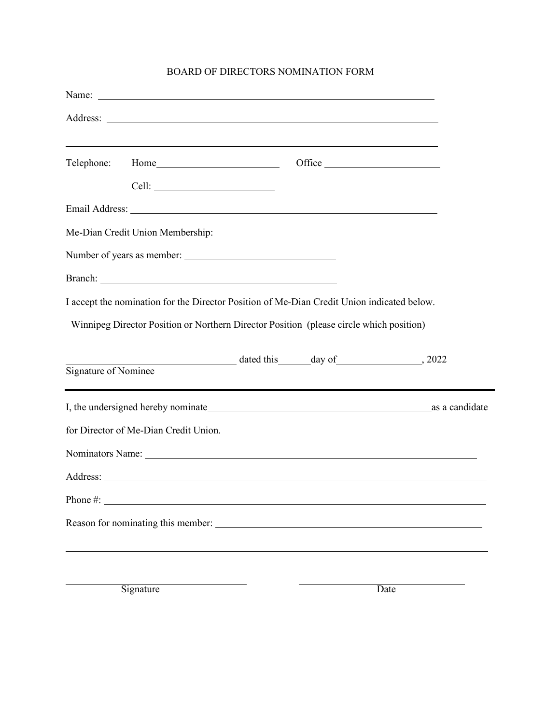### BOARD OF DIRECTORS NOMINATION FORM

|          | Telephone: Home                                                                                                                                                                                                                      | Office |  |
|----------|--------------------------------------------------------------------------------------------------------------------------------------------------------------------------------------------------------------------------------------|--------|--|
|          |                                                                                                                                                                                                                                      |        |  |
|          |                                                                                                                                                                                                                                      |        |  |
|          | Me-Dian Credit Union Membership:                                                                                                                                                                                                     |        |  |
|          |                                                                                                                                                                                                                                      |        |  |
|          | Branch: <u>Denote and the contract of the contract of the contract of the contract of the contract of the contract of the contract of the contract of the contract of the contract of the contract of the contract of the contra</u> |        |  |
|          | I accept the nomination for the Director Position of Me-Dian Credit Union indicated below.<br>Winnipeg Director Position or Northern Director Position (please circle which position)                                                |        |  |
|          |                                                                                                                                                                                                                                      |        |  |
|          |                                                                                                                                                                                                                                      |        |  |
|          | for Director of Me-Dian Credit Union.                                                                                                                                                                                                |        |  |
|          |                                                                                                                                                                                                                                      |        |  |
|          |                                                                                                                                                                                                                                      |        |  |
| Phone #: |                                                                                                                                                                                                                                      |        |  |
|          | Reason for nominating this member:                                                                                                                                                                                                   |        |  |
|          | Signature                                                                                                                                                                                                                            | Date   |  |